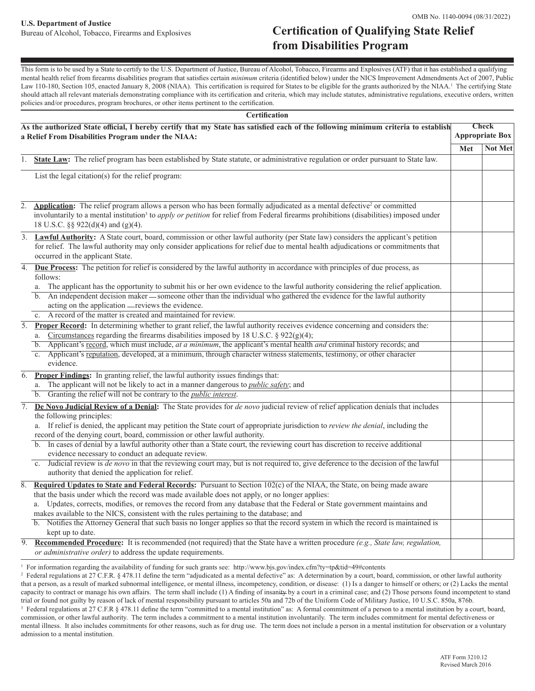## Bureau of Alcohol, Tobacco, Firearms and Explosives **Certification of Qualifying State Relief from Disabilities Program**

This form is to be used by a State to certify to the U.S. Department of Justice, Bureau of Alcohol, Tobacco, Firearms and Explosives (ATF) that it has established a qualifying mental health relief from firearms disabilities program that satisfies certain *minimum* criteria (identified below) under the NICS Improvement Admendments Act of 2007, Public Law 110-180, Section 105, enacted January 8, 2008 (NIAA). This certification is required for States to be eligible for the grants authorized by the NIAA.<sup>1</sup> The certifying State should attach all relevant materials demonstrating compliance with its certification and criteria, which may include statutes, administrative regulations, executive orders, written policies and/or procedures, program brochures, or other items pertinent to the certification.

| As the authorized State official, I hereby certify that my State has satisfied each of the following minimum criteria to establish<br>a Relief From Disabilities Program under the NIAA: |                                                                                                                                                                                                                                                                                                                                                                                                                                                                                                                                                                                                                                                                                                                                                                                  | <b>Check</b><br><b>Appropriate Box</b> |                |
|------------------------------------------------------------------------------------------------------------------------------------------------------------------------------------------|----------------------------------------------------------------------------------------------------------------------------------------------------------------------------------------------------------------------------------------------------------------------------------------------------------------------------------------------------------------------------------------------------------------------------------------------------------------------------------------------------------------------------------------------------------------------------------------------------------------------------------------------------------------------------------------------------------------------------------------------------------------------------------|----------------------------------------|----------------|
|                                                                                                                                                                                          |                                                                                                                                                                                                                                                                                                                                                                                                                                                                                                                                                                                                                                                                                                                                                                                  | Met                                    | <b>Not Met</b> |
|                                                                                                                                                                                          | 1. State Law: The relief program has been established by State statute, or administrative regulation or order pursuant to State law.                                                                                                                                                                                                                                                                                                                                                                                                                                                                                                                                                                                                                                             |                                        |                |
|                                                                                                                                                                                          | List the legal citation(s) for the relief program:                                                                                                                                                                                                                                                                                                                                                                                                                                                                                                                                                                                                                                                                                                                               |                                        |                |
|                                                                                                                                                                                          | 2. <b>Application:</b> The relief program allows a person who has been formally adjudicated as a mental defective <sup>2</sup> or committed<br>involuntarily to a mental institution <sup>3</sup> to <i>apply or petition</i> for relief from Federal firearms prohibitions (disabilities) imposed under<br>18 U.S.C. §§ 922(d)(4) and (g)(4).                                                                                                                                                                                                                                                                                                                                                                                                                                   |                                        |                |
|                                                                                                                                                                                          | 3. <b>Lawful Authority:</b> A State court, board, commission or other lawful authority (per State law) considers the applicant's petition<br>for relief. The lawful authority may only consider applications for relief due to mental health adjudications or commitments that<br>occurred in the applicant State.                                                                                                                                                                                                                                                                                                                                                                                                                                                               |                                        |                |
|                                                                                                                                                                                          | 4. Due Process: The petition for relief is considered by the lawful authority in accordance with principles of due process, as<br>follows:<br>The applicant has the opportunity to submit his or her own evidence to the lawful authority considering the relief application.<br>a.<br>b. An independent decision maker — someone other than the individual who gathered the evidence for the lawful authority<br>acting on the application — reviews the evidence.<br>A record of the matter is created and maintained for review.<br>c.                                                                                                                                                                                                                                        |                                        |                |
|                                                                                                                                                                                          | 5. Proper Record: In determining whether to grant relief, the lawful authority receives evidence concerning and considers the:<br>Circumstances regarding the firearms disabilities imposed by 18 U.S.C. $\S$ 922(g)(4);<br>a.<br>b. Applicant's record, which must include, at a minimum, the applicant's mental health and criminal history records; and<br>c. Applicant's reputation, developed, at a minimum, through character witness statements, testimony, or other character<br>evidence.                                                                                                                                                                                                                                                                               |                                        |                |
| 6.                                                                                                                                                                                       | Proper Findings: In granting relief, the lawful authority issues findings that:<br>a. The applicant will not be likely to act in a manner dangerous to <i>public safety</i> ; and<br>b. Granting the relief will not be contrary to the <i>public interest</i> .                                                                                                                                                                                                                                                                                                                                                                                                                                                                                                                 |                                        |                |
| 7.                                                                                                                                                                                       | De Novo Judicial Review of a Denial: The State provides for <i>de novo</i> judicial review of relief application denials that includes<br>the following principles:<br>a. If relief is denied, the applicant may petition the State court of appropriate jurisdiction to review the denial, including the<br>record of the denying court, board, commission or other lawful authority.<br>b. In cases of denial by a lawful authority other than a State court, the reviewing court has discretion to receive additional<br>evidence necessary to conduct an adequate review.<br>c. Judicial review is <i>de novo</i> in that the reviewing court may, but is not required to, give deference to the decision of the lawful<br>authority that denied the application for relief. |                                        |                |
|                                                                                                                                                                                          | 8. Required Updates to State and Federal Records: Pursuant to Section $102(c)$ of the NIAA, the State, on being made aware<br>that the basis under which the record was made available does not apply, or no longer applies:<br>Updates, corrects, modifies, or removes the record from any database that the Federal or State government maintains and<br>makes available to the NICS, consistent with the rules pertaining to the database; and<br>b. Notifies the Attorney General that such basis no longer applies so that the record system in which the record is maintained is<br>kept up to date.                                                                                                                                                                       |                                        |                |
| 9.                                                                                                                                                                                       | <b>Recommended Procedure:</b> It is recommended (not required) that the State have a written procedure (e.g., State law, regulation,<br>or administrative order) to address the update requirements.                                                                                                                                                                                                                                                                                                                                                                                                                                                                                                                                                                             |                                        |                |

1 For information regarding the availability of funding for such grants see: http://www.bjs.gov/index.cfm?ty=tp&tid=49#contents

 $^2$  Federal regulations at 27 C.F.R. § 478.11 define the term "adjudicated as a mental defective" as: A determination by a court, board, commission, or other lawful authority that a person, as a result of marked subnormal intelligence, or mental illness, incompetency, condition, or disease: (1) Is a danger to himself or others; or (2) Lacks the mental capacity to contract or manage his own affairs. The term shall include (1) A finding of insanity by a court in a criminal case; and (2) Those persons found incompetent to stand trial or found not guilty by reason of lack of mental responsibility pursuant to articles 50a and 72b of the Uniform Code of Military Justice, 10 U.S.C. 850a, 876b. <sup>3</sup> Federal regulations at 27 C.F.R § 478.11 define the term "committed to a mental institution" as: A formal commitment of a person to a mental institution by a court, board, commission, or other lawful authority. The term includes a commitment to a mental institution involuntarily. The term includes commitment for mental defectiveness or mental illness. It also includes commitments for other reasons, such as for drug use. The term does not include a person in a mental institution for observation or a voluntary

admission to a mental institution.